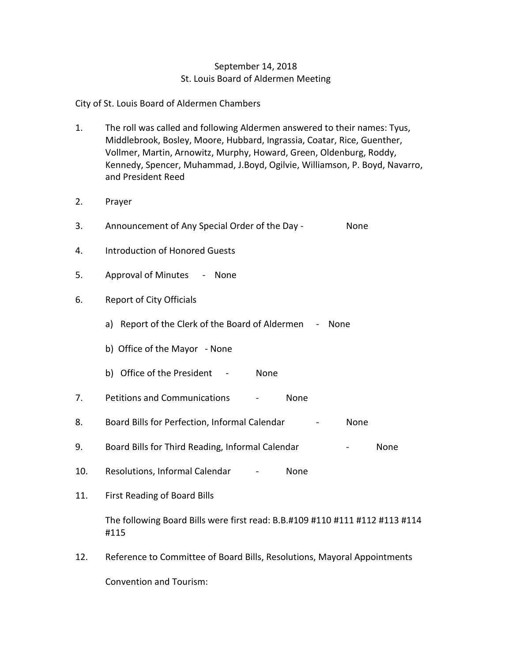## September 14, 2018 St. Louis Board of Aldermen Meeting

City of St. Louis Board of Aldermen Chambers

- 1. The roll was called and following Aldermen answered to their names: Tyus, Middlebrook, Bosley, Moore, Hubbard, Ingrassia, Coatar, Rice, Guenther, Vollmer, Martin, Arnowitz, Murphy, Howard, Green, Oldenburg, Roddy, Kennedy, Spencer, Muhammad, J.Boyd, Ogilvie, Williamson, P. Boyd, Navarro, and President Reed
- 2. Prayer
- 3. Announcement of Any Special Order of the Day None
- 4. Introduction of Honored Guests
- 5. Approval of Minutes None
- 6. Report of City Officials
	- a) Report of the Clerk of the Board of Aldermen None
	- b) Office of the Mayor None
	- b) Office of the President None
- 7. Petitions and Communications None
- 8. Board Bills for Perfection, Informal Calendar Fascence Rome
- 9. Board Bills for Third Reading, Informal Calendar **-** None
- 10. Resolutions, Informal Calendar None
- 11. First Reading of Board Bills

The following Board Bills were first read: B.B.#109 #110 #111 #112 #113 #114 #115

12. Reference to Committee of Board Bills, Resolutions, Mayoral Appointments Convention and Tourism: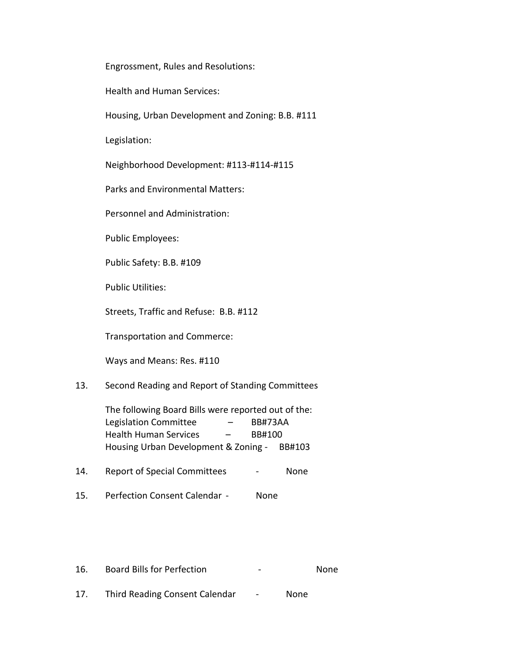Engrossment, Rules and Resolutions:

Health and Human Services:

Housing, Urban Development and Zoning: B.B. #111

Legislation:

Neighborhood Development: #113-#114-#115

Parks and Environmental Matters:

Personnel and Administration:

Public Employees:

Public Safety: B.B. #109

Public Utilities:

Streets, Traffic and Refuse: B.B. #112

Transportation and Commerce:

Ways and Means: Res. #110

13. Second Reading and Report of Standing Committees

The following Board Bills were reported out of the: Legislation Committee – BB#73AA Health Human Services - BB#100 Housing Urban Development & Zoning - BB#103

14. Report of Special Committees - None

15. Perfection Consent Calendar - None

16. Board Bills for Perfection **Falls** - None

17. Third Reading Consent Calendar - None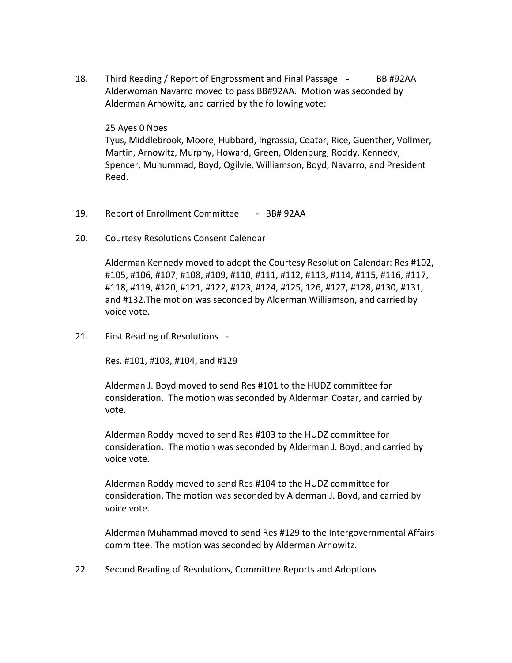18. Third Reading / Report of Engrossment and Final Passage - BB #92AA Alderwoman Navarro moved to pass BB#92AA. Motion was seconded by Alderman Arnowitz, and carried by the following vote:

## 25 Ayes 0 Noes

Tyus, Middlebrook, Moore, Hubbard, Ingrassia, Coatar, Rice, Guenther, Vollmer, Martin, Arnowitz, Murphy, Howard, Green, Oldenburg, Roddy, Kennedy, Spencer, Muhummad, Boyd, Ogilvie, Williamson, Boyd, Navarro, and President Reed.

- 19. Report of Enrollment Committee BB# 92AA
- 20. Courtesy Resolutions Consent Calendar

Alderman Kennedy moved to adopt the Courtesy Resolution Calendar: Res #102, #105, #106, #107, #108, #109, #110, #111, #112, #113, #114, #115, #116, #117, #118, #119, #120, #121, #122, #123, #124, #125, 126, #127, #128, #130, #131, and #132.The motion was seconded by Alderman Williamson, and carried by voice vote.

21. First Reading of Resolutions -

Res. #101, #103, #104, and #129

Alderman J. Boyd moved to send Res #101 to the HUDZ committee for consideration. The motion was seconded by Alderman Coatar, and carried by vote.

Alderman Roddy moved to send Res #103 to the HUDZ committee for consideration. The motion was seconded by Alderman J. Boyd, and carried by voice vote.

Alderman Roddy moved to send Res #104 to the HUDZ committee for consideration. The motion was seconded by Alderman J. Boyd, and carried by voice vote.

Alderman Muhammad moved to send Res #129 to the Intergovernmental Affairs committee. The motion was seconded by Alderman Arnowitz.

22. Second Reading of Resolutions, Committee Reports and Adoptions